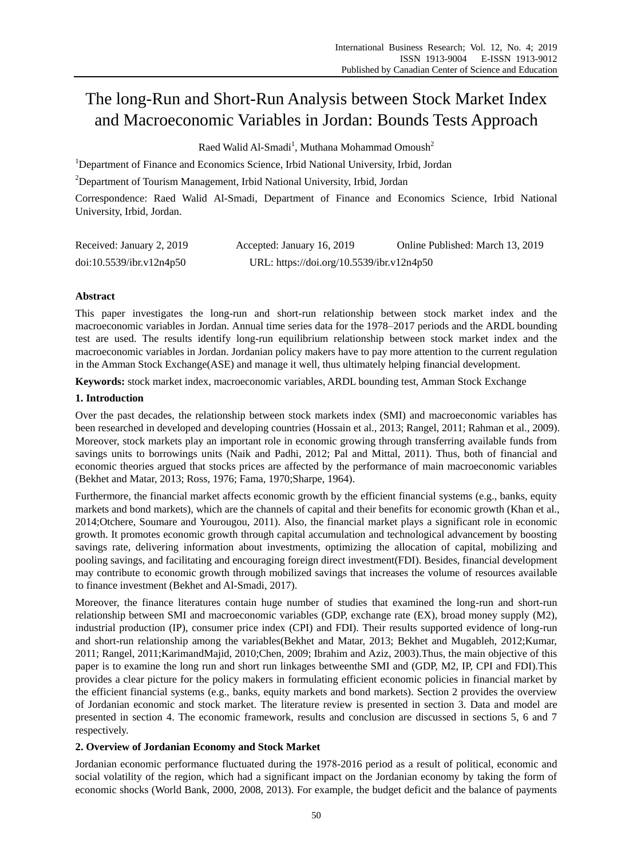# The long-Run and Short-Run Analysis between Stock Market Index and Macroeconomic Variables in Jordan: Bounds Tests Approach

Raed Walid Al-Smadi $^{\rm l}$ , Muthana Mohammad Omoush $^{\rm 2}$ 

<sup>1</sup>Department of Finance and Economics Science, Irbid National University, Irbid, Jordan

<sup>2</sup>Department of Tourism Management, Irbid National University, Irbid, Jordan

Correspondence: Raed Walid Al-Smadi, Department of Finance and Economics Science, Irbid National University, Irbid, Jordan.

| Received: January 2, 2019 | Accepted: January 16, 2019                | Online Published: March 13, 2019 |
|---------------------------|-------------------------------------------|----------------------------------|
| doi:10.5539/ibr.v12n4p50  | URL: https://doi.org/10.5539/ibr.v12n4p50 |                                  |

# **Abstract**

This paper investigates the long-run and short-run relationship between stock market index and the macroeconomic variables in Jordan. Annual time series data for the 1978–2017 periods and the ARDL bounding test are used. The results identify long-run equilibrium relationship between stock market index and the macroeconomic variables in Jordan. Jordanian policy makers have to pay more attention to the current regulation in the Amman Stock Exchange(ASE) and manage it well, thus ultimately helping financial development.

**Keywords:** stock market index, macroeconomic variables, ARDL bounding test, Amman Stock Exchange

# **1. Introduction**

Over the past decades, the relationship between stock markets index (SMI) and macroeconomic variables has been researched in developed and developing countries (Hossain et al., 2013; Rangel, 2011; Rahman et al., 2009). Moreover, stock markets play an important role in economic growing through transferring available funds from savings units to borrowings units (Naik and Padhi, 2012; Pal and Mittal, 2011). Thus, both of financial and economic theories argued that stocks prices are affected by the performance of main macroeconomic variables (Bekhet and Matar, 2013; Ross, 1976; Fama, 1970;Sharpe, 1964).

Furthermore, the financial market affects economic growth by the efficient financial systems (e.g., banks, equity markets and bond markets), which are the channels of capital and their benefits for economic growth (Khan et al., 2014;Otchere, Soumare and Yourougou, 2011). Also, the financial market plays a significant role in economic growth. It promotes economic growth through capital accumulation and technological advancement by boosting savings rate, delivering information about investments, optimizing the allocation of capital, mobilizing and pooling savings, and facilitating and encouraging foreign direct investment(FDI). Besides, financial development may contribute to economic growth through mobilized savings that increases the volume of resources available to finance investment (Bekhet and Al-Smadi, 2017).

Moreover, the finance literatures contain huge number of studies that examined the long-run and short-run relationship between SMI and macroeconomic variables (GDP, exchange rate (EX), broad money supply (M2), industrial production (IP), consumer price index (CPI) and FDI). Their results supported evidence of long-run and short-run relationship among the variables(Bekhet and Matar, 2013; Bekhet and Mugableh, 2012;Kumar, 2011; Rangel, 2011;KarimandMajid, 2010;Chen, 2009; Ibrahim and Aziz, 2003).Thus, the main objective of this paper is to examine the long run and short run linkages betweenthe SMI and (GDP, M2, IP, CPI and FDI).This provides a clear picture for the policy makers in formulating efficient economic policies in financial market by the efficient financial systems (e.g., banks, equity markets and bond markets). Section 2 provides the overview of Jordanian economic and stock market. The literature review is presented in section 3. Data and model are presented in section 4. The economic framework, results and conclusion are discussed in sections 5, 6 and 7 respectively.

## **2. Overview of Jordanian Economy and Stock Market**

Jordanian economic performance fluctuated during the 1978-2016 period as a result of political, economic and social volatility of the region, which had a significant impact on the Jordanian economy by taking the form of economic shocks (World Bank, 2000, 2008, 2013). For example, the budget deficit and the balance of payments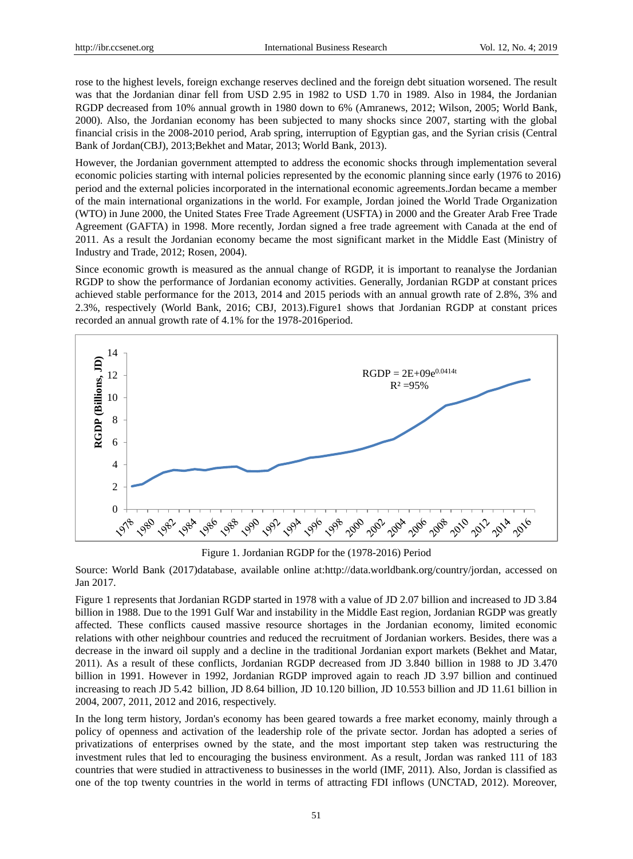rose to the highest levels, foreign exchange reserves declined and the foreign debt situation worsened. The result was that the Jordanian dinar fell from USD 2.95 in 1982 to USD 1.70 in 1989. Also in 1984, the Jordanian RGDP decreased from 10% annual growth in 1980 down to 6% (Amranews, 2012; Wilson, 2005; World Bank, 2000). Also, the Jordanian economy has been subjected to many shocks since 2007, starting with the global financial crisis in the 2008-2010 period, Arab spring, interruption of Egyptian gas, and the Syrian crisis [\(Central](https://www.google.jo/url?sa=t&rct=j&q=&esrc=s&frm=1&source=web&cd=8&cad=rja&uact=8&ved=0ahUKEwiemp3A1IHXAhUBJ1AKHbELALYQFghNMAc&url=https%3A%2F%2Fen.wikipedia.org%2Fwiki%2FCentral_Bank_of_Jordan&usg=AOvVaw0mivbV2zsVPBvfd5wiGJo4)  [Bank of Jordan\(](https://www.google.jo/url?sa=t&rct=j&q=&esrc=s&frm=1&source=web&cd=8&cad=rja&uact=8&ved=0ahUKEwiemp3A1IHXAhUBJ1AKHbELALYQFghNMAc&url=https%3A%2F%2Fen.wikipedia.org%2Fwiki%2FCentral_Bank_of_Jordan&usg=AOvVaw0mivbV2zsVPBvfd5wiGJo4)CBJ), 2013;Bekhet and Matar, 2013; World Bank, 2013).

However, the Jordanian government attempted to address the economic shocks through implementation several economic policies starting with internal policies represented by the economic planning since early (1976 to 2016) period and the external policies incorporated in the international economic agreements.Jordan became a member of the main international organizations in the world. For example, Jordan joined the World Trade Organization (WTO) in June 2000, the United States Free Trade Agreement (USFTA) in 2000 and the Greater Arab Free Trade Agreement (GAFTA) in 1998. More recently, Jordan signed a free trade agreement with Canada at the end of 2011. As a result the Jordanian economy became the most significant market in the Middle East (Ministry of Industry and Trade, 2012; Rosen, 2004).

Since economic growth is measured as the annual change of RGDP, it is important to reanalyse the Jordanian RGDP to show the performance of Jordanian economy activities. Generally, Jordanian RGDP at constant prices achieved stable performance for the 2013, 2014 and 2015 periods with an annual growth rate of 2.8%, 3% and 2.3%, respectively (World Bank, 2016; CBJ, 2013).Figure1 shows that Jordanian RGDP at constant prices recorded an annual growth rate of 4.1% for the 1978-2016period.



Figure 1. Jordanian RGDP for the (1978-2016) Period

Source: World Bank (2017)database, available online at[:http://data.worldbank.org/country/jordan,](http://data.worldbank.org/country/jordan) accessed on Jan 2017.

Figure 1 represents that Jordanian RGDP started in 1978 with a value of JD 2.07 billion and increased to JD 3.84 billion in 1988. Due to the 1991 Gulf War and instability in the Middle East region, Jordanian RGDP was greatly affected. These conflicts caused massive resource shortages in the Jordanian economy, limited economic relations with other neighbour countries and reduced the recruitment of Jordanian workers. Besides, there was a decrease in the inward oil supply and a decline in the traditional Jordanian export markets (Bekhet and Matar, 2011). As a result of these conflicts, Jordanian RGDP decreased from JD 3.840 billion in 1988 to JD 3.470 billion in 1991. However in 1992, Jordanian RGDP improved again to reach JD 3.97 billion and continued increasing to reach JD 5.42 billion, JD 8.64 billion, JD 10.120 billion, JD 10.553 billion and JD 11.61 billion in 2004, 2007, 2011, 2012 and 2016, respectively.

In the long term history, Jordan's economy has been geared towards a free market economy, mainly through a policy of openness and activation of the leadership role of the private sector. Jordan has adopted a series of privatizations of enterprises owned by the state, and the most important step taken was restructuring the investment rules that led to encouraging the business environment. As a result, Jordan was ranked 111 of 183 countries that were studied in attractiveness to businesses in the world (IMF, 2011). Also, Jordan is classified as one of the top twenty countries in the world in terms of attracting FDI inflows (UNCTAD, 2012). Moreover,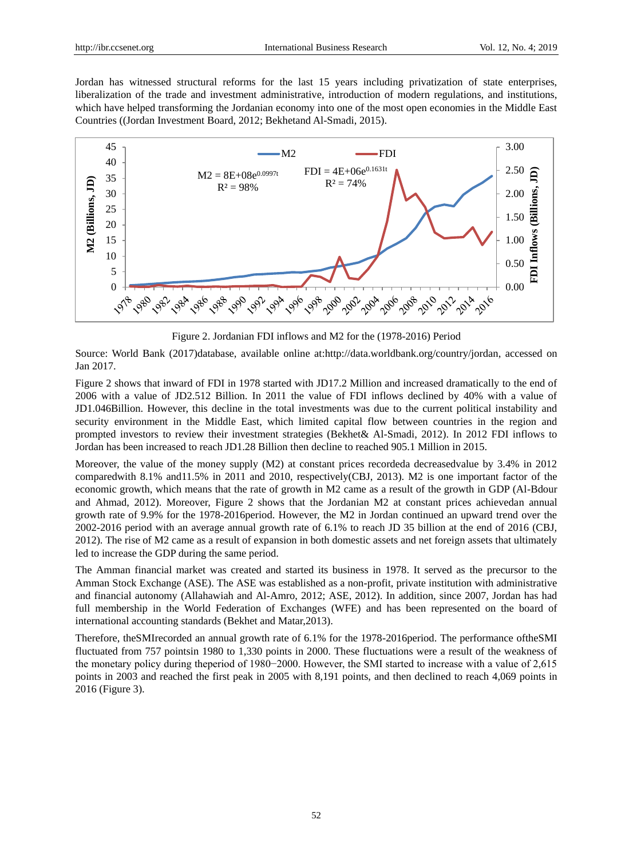Jordan has witnessed structural reforms for the last 15 years including privatization of state enterprises, liberalization of the trade and investment administrative, introduction of modern regulations, and institutions, which have helped transforming the Jordanian economy into one of the most open economies in the Middle East Countries ((Jordan Investment Board, 2012; Bekhetand Al-Smadi, 2015).



Figure 2. Jordanian FDI inflows and M2 for the (1978-2016) Period

Source: World Bank (2017)database, available online at[:http://data.worldbank.org/country/jordan,](http://data.worldbank.org/country/jordan) accessed on Jan 2017.

Figure 2 shows that inward of FDI in 1978 started with JD17.2 Million and increased dramatically to the end of 2006 with a value of JD2.512 Billion. In 2011 the value of FDI inflows declined by 40% with a value of JD1.046Billion. However, this decline in the total investments was due to the current political instability and security environment in the Middle East, which limited capital flow between countries in the region and prompted investors to review their investment strategies (Bekhet& Al-Smadi, 2012). In 2012 FDI inflows to Jordan has been increased to reach JD1.28 Billion then decline to reached 905.1 Million in 2015.

Moreover, the value of the money supply (M2) at constant prices recordeda decreasedvalue by 3.4% in 2012 comparedwith 8.1% and11.5% in 2011 and 2010, respectively(CBJ, 2013). M2 is one important factor of the economic growth, which means that the rate of growth in M2 came as a result of the growth in GDP (Al-Bdour and Ahmad, 2012). Moreover, Figure 2 shows that the Jordanian M2 at constant prices achievedan annual growth rate of 9.9% for the 1978-2016period. However, the M2 in Jordan continued an upward trend over the 2002-2016 period with an average annual growth rate of 6.1% to reach JD 35 billion at the end of 2016 (CBJ, 2012). The rise of M2 came as a result of expansion in both domestic assets and net foreign assets that ultimately led to increase the GDP during the same period.

The Amman financial market was created and started its business in 1978. It served as the precursor to the Amman Stock Exchange (ASE). The ASE was established as a non-profit, private institution with administrative and financial autonomy (Allahawiah and Al-Amro, 2012; ASE, 2012). In addition, since 2007, Jordan has had full membership in the World Federation of Exchanges (WFE) and has been represented on the board of international accounting standards (Bekhet and Matar,2013).

Therefore, theSMIrecorded an annual growth rate of 6.1% for the 1978-2016period. The performance oftheSMI fluctuated from 757 pointsin 1980 to 1,330 points in 2000. These fluctuations were a result of the weakness of the monetary policy during theperiod of 1980−2000. However, the SMI started to increase with a value of 2,615 points in 2003 and reached the first peak in 2005 with 8,191 points, and then declined to reach 4,069 points in 2016 (Figure 3).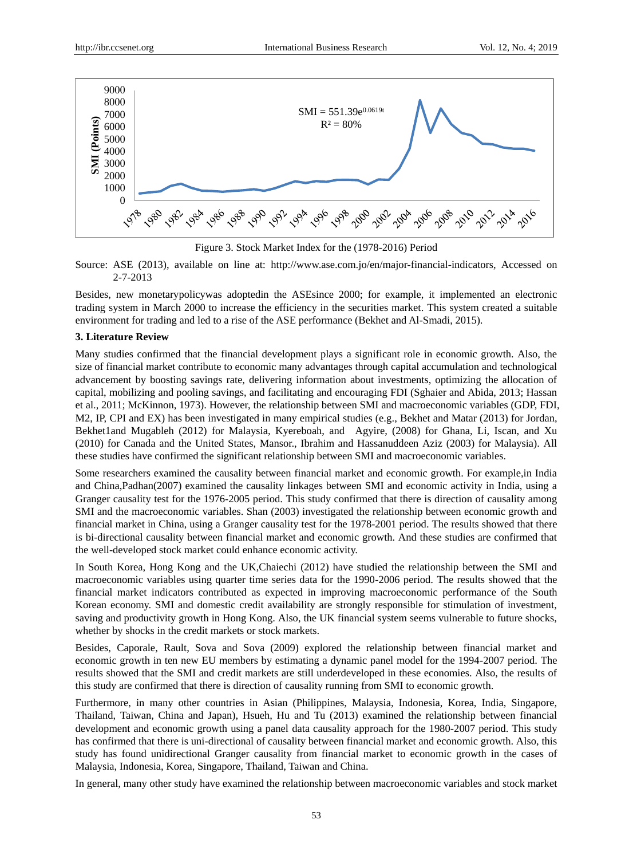

Figure 3. Stock Market Index for the (1978-2016) Period

Source: ASE (2013), available on line at: [http://www.ase.com.jo/en/major-financial-indicators,](http://www.ase.com.jo/en/major-financial-indicators) Accessed on 2-7-2013

Besides, new monetarypolicywas adoptedin the ASEsince 2000; for example, it implemented an electronic trading system in March 2000 to increase the efficiency in the securities market. This system created a suitable environment for trading and led to a rise of the ASE performance (Bekhet and Al-Smadi, 2015).

#### **3. Literature Review**

Many studies confirmed that the financial development plays a significant role in economic growth. Also, the size of financial market contribute to economic many advantages through capital accumulation and technological advancement by boosting savings rate, delivering information about investments, optimizing the allocation of capital, mobilizing and pooling savings, and facilitating and encouraging FDI (Sghaier and Abida, 2013; Hassan et al., 2011; McKinnon, 1973). However, the relationship between SMI and macroeconomic variables (GDP, FDI, M2, IP, CPI and EX) has been investigated in many empirical studies (e.g., [Bekhet](http://www.sciencedirect.com/science/article/pii/S0264999313002770#!) and [Matar](http://www.sciencedirect.com/science/article/pii/S0264999313002770#!) (2013) for Jordan, Bekhet1and Mugableh (2012) for Malaysia, Kyereboah, and Agyire, (2008) for Ghana, Li, Iscan, and Xu (2010) for Canada and the United States, Mansor., Ibrahim and Hassanuddeen Aziz (2003) for Malaysia). All these studies have confirmed the significant relationship between SMI and macroeconomic variables.

Some researchers examined the causality between financial market and economic growth. For example,in India and China,Padhan(2007) examined the causality linkages between SMI and economic activity in India, using a Granger causality test for the 1976-2005 period. This study confirmed that there is direction of causality among SMI and the macroeconomic variables. Shan (2003) investigated the relationship between economic growth and financial market in China, using a Granger causality test for the 1978-2001 period. The results showed that there is bi-directional causality between financial market and economic growth. And these studies are confirmed that the well-developed stock market could enhance economic activity.

In South Korea, Hong Kong and the UK,Chaiechi (2012) have studied the relationship between the SMI and macroeconomic variables using quarter time series data for the 1990-2006 period. The results showed that the financial market indicators contributed as expected in improving macroeconomic performance of the South Korean economy. SMI and domestic credit availability are strongly responsible for stimulation of investment, saving and productivity growth in Hong Kong. Also, the UK financial system seems vulnerable to future shocks, whether by shocks in the credit markets or stock markets.

Besides, Caporale, Rault, Sova and Sova (2009) explored the relationship between financial market and economic growth in ten new EU members by estimating a dynamic panel model for the 1994-2007 period. The results showed that the SMI and credit markets are still underdeveloped in these economies. Also, the results of this study are confirmed that there is direction of causality running from SMI to economic growth.

Furthermore, in many other countries in Asian (Philippines, Malaysia, Indonesia, Korea, India, Singapore, Thailand, Taiwan, China and Japan), Hsueh, Hu and Tu (2013) examined the relationship between financial development and economic growth using a panel data causality approach for the 1980-2007 period. This study has confirmed that there is uni-directional of causality between financial market and economic growth. Also, this study has found unidirectional Granger causality from financial market to economic growth in the cases of Malaysia, Indonesia, Korea, Singapore, Thailand, Taiwan and China.

In general, many other study have examined the relationship between macroeconomic variables and stock market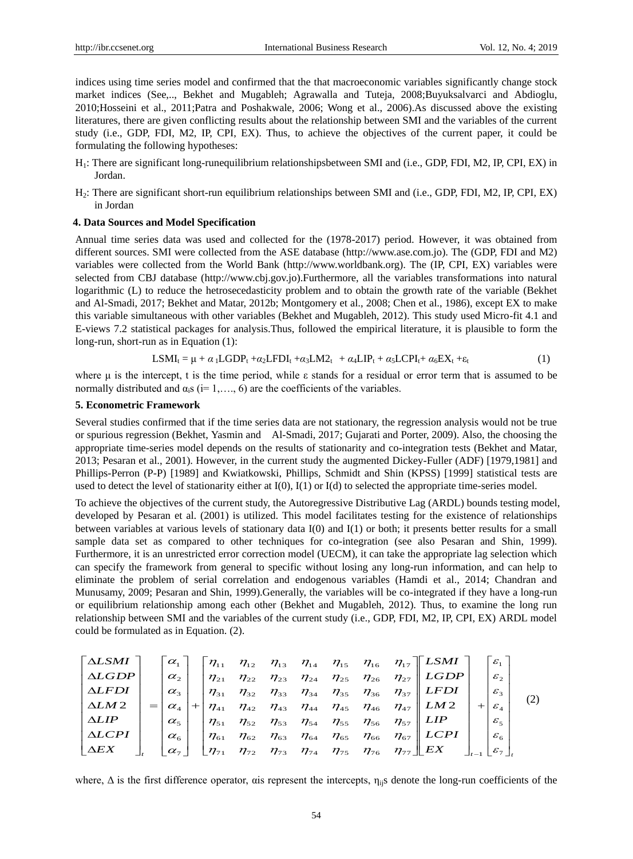indices using time series model and confirmed that the that macroeconomic variables significantly change stock market indices (See,.., Bekhet and Mugableh; Agrawalla and Tuteja, 2008;Buyuksalvarci and Abdioglu, 2010;Hosseini et al., 2011;Patra and Poshakwale, 2006; Wong et al., 2006).As discussed above the existing literatures, there are given conflicting results about the relationship between SMI and the variables of the current study (i.e., GDP, FDI, M2, IP, CPI, EX). Thus, to achieve the objectives of the current paper, it could be formulating the following hypotheses:

- H1: There are significant long-runequilibrium relationshipsbetween SMI and (i.e., GDP, FDI, M2, IP, CPI, EX) in Jordan.
- H2: There are significant short-run equilibrium relationships between SMI and (i.e., GDP, FDI, M2, IP, CPI, EX) in Jordan

#### **4. Data Sources and Model Specification**

Annual time series data was used and collected for the (1978-2017) period. However, it was obtained from different sources. SMI were collected from the ASE database [\(http://www.ase.com.jo\)](http://www.ase.com.jo/). The (GDP, FDI and M2) variables were collected from the World Bank [\(http://www.worldbank.org\)](http://www.worldbank.org/). The (IP, CPI, EX) variables were selected from CBJ database [\(http://www.cbj.gov.jo\)](http://www.cbj.gov.jo/).Furthermore, all the variables transformations into natural logarithmic (L) to reduce the hetrosecedasticity problem and to obtain the growth rate of the variable (Bekhet and Al-Smadi, 2017; Bekhet and Matar, 2012b; Montgomery et al., 2008; Chen et al., 1986), except EX to make this variable simultaneous with other variables (Bekhet and Mugableh, 2012). This study used Micro-fit 4.1 and E-views 7.2 statistical packages for analysis.Thus, followed the empirical literature, it is plausible to form the long-run, short-run as in Equation (1):

$$
LSMI_t = \mu + \alpha_1 LGDP_t + \alpha_2 LFDI_t + \alpha_3 LM2_t + \alpha_4 LIP_t + \alpha_5 LCPI_t + \alpha_6 EX_t + \epsilon_t
$$
 (1)

where  $\mu$  is the intercept, t is the time period, while  $\varepsilon$  stands for a residual or error term that is assumed to be normally distributed and  $\alpha_i s$  (i= 1,..., 6) are the coefficients of the variables.

#### **5. Econometric Framework**

Several studies confirmed that if the time series data are not stationary, the regression analysis would not be true or spurious regression [\(Bekhet,](https://www.researchgate.net/profile/Hussain_Bekhet?_iepl%5BviewId%5D=qxcLK1XWMyZSLXDlcOasYNbPnmlCevPemKwC&_iepl%5Bcontexts%5D%5B0%5D=prfhpi&_iepl%5Bdata%5D%5BstandardItemCount%5D=4&_iepl%5Bdata%5D%5BuserSelectedItemCount%5D=0&_iepl%5Bdata%5D%5BtopHighlightCount%5D=2&_iepl%5Bdata%5D%5BstandardItemIndex%5D=1&_iepl%5Bdata%5D%5BstandardItem1of4%5D=1&_iepl%5BtargetEntityId%5D=PB%3A317371610&_iepl%5BinteractionType%5D=publicationViewCoAuthorProfile) [Yasmin](https://www.researchgate.net/profile/Tahira_Yasmin?_iepl%5BviewId%5D=qxcLK1XWMyZSLXDlcOasYNbPnmlCevPemKwC&_iepl%5Bcontexts%5D%5B0%5D=prfhpi&_iepl%5Bdata%5D%5BstandardItemCount%5D=4&_iepl%5Bdata%5D%5BuserSelectedItemCount%5D=0&_iepl%5Bdata%5D%5BtopHighlightCount%5D=2&_iepl%5Bdata%5D%5BstandardItemIndex%5D=1&_iepl%5Bdata%5D%5BstandardItem1of4%5D=1&_iepl%5BtargetEntityId%5D=PB%3A317371610&_iepl%5BinteractionType%5D=publicationViewCoAuthorProfile) and [Al-Smadi,](https://www.researchgate.net/profile/Raed_Al-Smadi2?_iepl%5BviewId%5D=qxcLK1XWMyZSLXDlcOasYNbPnmlCevPemKwC&_iepl%5Bcontexts%5D%5B0%5D=prfhpi&_iepl%5Bdata%5D%5BstandardItemCount%5D=4&_iepl%5Bdata%5D%5BuserSelectedItemCount%5D=0&_iepl%5Bdata%5D%5BtopHighlightCount%5D=2&_iepl%5Bdata%5D%5BstandardItemIndex%5D=1&_iepl%5Bdata%5D%5BstandardItem1of4%5D=1&_iepl%5BtargetEntityId%5D=PB%3A317371610&_iepl%5BinteractionType%5D=publicationViewCoAuthorProfile) 2017; Gujarati and Porter, 2009). Also, the choosing the appropriate time-series model depends on the results of stationarity and co-integration tests (Bekhet and Matar, 2013; Pesaran et al., 2001). However, in the current study the augmented Dickey-Fuller (ADF) [1979,1981] and Phillips-Perron (P-P) [1989] and Kwiatkowski, Phillips, Schmidt and Shin (KPSS) [1999] statistical tests are used to detect the level of stationarity either at I(0), I(1) or I(d) to selected the appropriate time-series model.

To achieve the objectives of the current study, the Autoregressive Distributive Lag (ARDL) bounds testing model, developed by Pesaran et al. (2001) is utilized. This model facilitates testing for the existence of relationships between variables at various levels of stationary data I(0) and I(1) or both; it presents better results for a small sample data set as compared to other techniques for co-integration (see also Pesaran and Shin, 1999). Furthermore, it is an unrestricted error correction model (UECM), it can take the appropriate lag selection which can specify the framework from general to specific without losing any long-run information, and can help to eliminate the problem of serial correlation and endogenous variables (Hamdi et al., 2014; Chandran and Munusamy, 2009; Pesaran and Shin, 1999).Generally, the variables will be co-integrated if they have a long-run or equilibrium relationship among each other (Bekhet and Mugableh, 2012). Thus, to examine the long run relationship between SMI and the variables of the current study (i.e., GDP, FDI, M2, IP, CPI, EX) ARDL model could be formulated as in Equation. (2).

$$
\begin{bmatrix}\n\Delta LSMI \\
\Delta LGDP \\
\Delta LFDI \\
\Delta LFDI \\
\Delta LIP\n\end{bmatrix} = \begin{bmatrix}\n\alpha_1 \\
\alpha_2 \\
\alpha_3 \\
\alpha_4 \\
\alpha_5 \\
\Delta LCPI \\
\Delta LCPI \\
\Delta EX\n\end{bmatrix} + \begin{bmatrix}\n\eta_{11} & \eta_{12} & \eta_{13} & \eta_{14} & \eta_{15} & \eta_{16} & \eta_{17} \\
\eta_{21} & \eta_{22} & \eta_{23} & \eta_{24} & \eta_{25} & \eta_{26} & \eta_{27} \\
\eta_{31} & \eta_{32} & \eta_{33} & \eta_{34} & \eta_{35} & \eta_{36} & \eta_{37} \\
\eta_{41} & \eta_{42} & \eta_{43} & \eta_{44} & \eta_{45} & \eta_{46} & \eta_{47} \\
\eta_{51} & \eta_{52} & \eta_{53} & \eta_{54} & \eta_{55} & \eta_{56} & \eta_{57} \\
\eta_{61} & \eta_{62} & \eta_{63} & \eta_{64} & \eta_{65} & \eta_{66} & \eta_{67} \\
\eta_{71} & \eta_{72} & \eta_{73} & \eta_{74} & \eta_{75} & \eta_{76} & \eta_{77}\n\end{bmatrix} \begin{bmatrix}\nESMI \\
ESMI \\
EFDI \\
EFDI \\
EMI \\
EMI\n\end{bmatrix} + \begin{bmatrix}\n\varepsilon_1 \\
\varepsilon_2 \\
\varepsilon_3 \\
\varepsilon_4 \\
\varepsilon_5 \\
\varepsilon_5 \\
\varepsilon_6 \\
\varepsilon_7\n\end{bmatrix} . (2)
$$

where,  $\Delta$  is the first difference operator, ais represent the intercepts,  $\eta_{ij}$  denote the long-run coefficients of the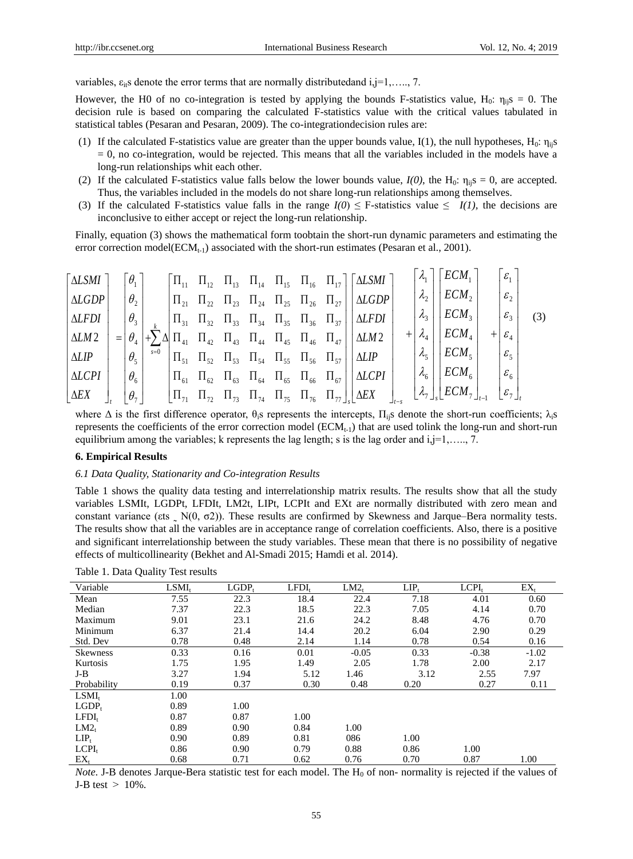variables,  $\varepsilon_{\text{it}}$ s denote the error terms that are normally distributedand i,j=1,…., 7.

However, the H0 of no co-integration is tested by applying the bounds F-statistics value,  $H_0: \eta_{ii} s = 0$ . The decision rule is based on comparing the calculated F-statistics value with the critical values tabulated in statistical tables (Pesaran and Pesaran, 2009). The co-integrationdecision rules are:

- (1) If the calculated F-statistics value are greater than the upper bounds value, I(1), the null hypotheses,  $H_0: \eta_{ii} s$  $= 0$ , no co-integration, would be rejected. This means that all the variables included in the models have a long-run relationships whit each other.
- (2) If the calculated F-statistics value falls below the lower bounds value,  $I(0)$ , the H<sub>0</sub>:  $\eta_{iiS} = 0$ , are accepted. Thus, the variables included in the models do not share long-run relationships among themselves.
- (3) If the calculated F-statistics value falls in the range  $I(0) \leq F$ -statistics value  $\leq I(1)$ , the decisions are inconclusive to either accept or reject the long-run relationship.

Finally, equation (3) shows the mathematical form toobtain the short-run dynamic parameters and estimating the error correction model( $ECM_{t-1}$ ) associated with the short-run estimates (Pesaran et al., 2001).

$$
\begin{bmatrix}\n\Delta LSMI \\
\Delta LGDP \\
\Delta LFDI \\
\Delta LFDI \\
\Delta LMP \\
\Delta LIP \\
\Delta LCPI \\
\Delta LCPI \\
\Delta EX\n\end{bmatrix}_{r} = \begin{bmatrix}\n\theta_{1} \\
\theta_{2} \\
\theta_{3} \\
\theta_{4} \\
\theta_{5} \\
\Delta EX\n\end{bmatrix}_{r} + \sum_{s=0}^{k} \Delta \begin{bmatrix}\n\Pi_{11} & \Pi_{12} & \Pi_{13} & \Pi_{14} & \Pi_{15} & \Pi_{16} & \Pi_{17} \\
\Pi_{21} & \Pi_{22} & \Pi_{23} & \Pi_{24} & \Pi_{25} & \Pi_{26} & \Pi_{27} \\
\Pi_{31} & \Pi_{32} & \Pi_{33} & \Pi_{34} & \Pi_{35} & \Pi_{36} & \Pi_{37} \\
\Pi_{31} & \Pi_{32} & \Pi_{33} & \Pi_{34} & \Pi_{35} & \Pi_{36} & \Pi_{37} \\
\Pi_{41} & \Pi_{42} & \Pi_{43} & \Pi_{44} & \Pi_{45} & \Pi_{46} & \Pi_{47} \\
\Pi_{51} & \Pi_{52} & \Pi_{53} & \Pi_{54} & \Pi_{55} & \Pi_{56} & \Pi_{57} \\
\Pi_{61} & \Pi_{62} & \Pi_{63} & \Pi_{64} & \Pi_{65} & \Pi_{66} & \Pi_{67} \\
\Pi_{71} & \Pi_{72} & \Pi_{73} & \Pi_{74} & \Pi_{75} & \Pi_{76} & \Pi_{77}\n\end{bmatrix}_{s} + \begin{bmatrix}\n\lambda_{1} \\
\lambda_{2} \\
\lambda_{3} \\
\lambda_{4} \\
\lambda_{5} \\
\lambda_{6} \\
\lambda_{8}\n\end{bmatrix}_{r} + \begin{bmatrix}\n\epsilon_{1} \\
\epsilon_{2} \\
\epsilon_{3} \\
\epsilon_{4} \\
\epsilon_{5} \\
\epsilon_{6} \\
\epsilon_{7}\n\end{bmatrix}_{r}
$$
\n
$$
(3)
$$

where  $\Delta$  is the first difference operator,  $\theta_i$ s represents the intercepts,  $\Pi_{ii}$ s denote the short-run coefficients;  $\lambda_i$ s represents the coefficients of the error correction model ( $ECM_{t-1}$ ) that are used tolink the long-run and short-run equilibrium among the variables; k represents the lag length; s is the lag order and  $i,j=1, \ldots, 7$ .

#### **6. Empirical Results**

#### *6.1 Data Quality, Stationarity and Co-integration Results*

Table 1 shows the quality data testing and interrelationship matrix results. The results show that all the study variables LSMIt, LGDPt, LFDIt, LM2t, LIPt, LCPIt and EXt are normally distributed with zero mean and constant variance ( $\varepsilon$ ts  $\mathcal{N}(0, \sigma 2)$ ). These results are confirmed by Skewness and Jarque–Bera normality tests. The results show that all the variables are in acceptance range of correlation coefficients. Also, there is a positive and significant interrelationship between the study variables. These mean that there is no possibility of negative effects of multicollinearity (Bekhet and Al-Smadi 2015; Hamdi et al. 2014).

| Variable          | $LSMI_t$ | LGDP. | LFDI <sub>t</sub> | LM2 <sub>t</sub> | $LIP_t$ | $L$ C $PI_t$ | $EX_{t}$ |
|-------------------|----------|-------|-------------------|------------------|---------|--------------|----------|
| Mean              | 7.55     | 22.3  | 18.4              | 22.4             | 7.18    | 4.01         | 0.60     |
| Median            | 7.37     | 22.3  | 18.5              | 22.3             | 7.05    | 4.14         | 0.70     |
| Maximum           | 9.01     | 23.1  | 21.6              | 24.2             | 8.48    | 4.76         | 0.70     |
| Minimum           | 6.37     | 21.4  | 14.4              | 20.2             | 6.04    | 2.90         | 0.29     |
| Std. Dev          | 0.78     | 0.48  | 2.14              | 1.14             | 0.78    | 0.54         | 0.16     |
| <b>Skewness</b>   | 0.33     | 0.16  | 0.01              | $-0.05$          | 0.33    | $-0.38$      | $-1.02$  |
| Kurtosis          | 1.75     | 1.95  | 1.49              | 2.05             | 1.78    | 2.00         | 2.17     |
| J-B               | 3.27     | 1.94  | 5.12              | 1.46             | 3.12    | 2.55         | 7.97     |
| Probability       | 0.19     | 0.37  | 0.30              | 0.48             | 0.20    | 0.27         | 0.11     |
| $LSMI_t$          | 1.00     |       |                   |                  |         |              |          |
| LGDP <sub>t</sub> | 0.89     | 1.00  |                   |                  |         |              |          |
| $LFDI_t$          | 0.87     | 0.87  | 1.00              |                  |         |              |          |
| LM2 <sub>t</sub>  | 0.89     | 0.90  | 0.84              | 1.00             |         |              |          |
| $LIP_t$           | 0.90     | 0.89  | 0.81              | 086              | 1.00    |              |          |
| $LCPI_t$          | 0.86     | 0.90  | 0.79              | 0.88             | 0.86    | 1.00         |          |
| $EX_t$            | 0.68     | 0.71  | 0.62              | 0.76             | 0.70    | 0.87         | 1.00     |

Table 1. Data Quality Test results

*Note*. J-B denotes Jarque-Bera statistic test for each model. The H<sub>0</sub> of non- normality is rejected if the values of J-B test  $> 10\%$ .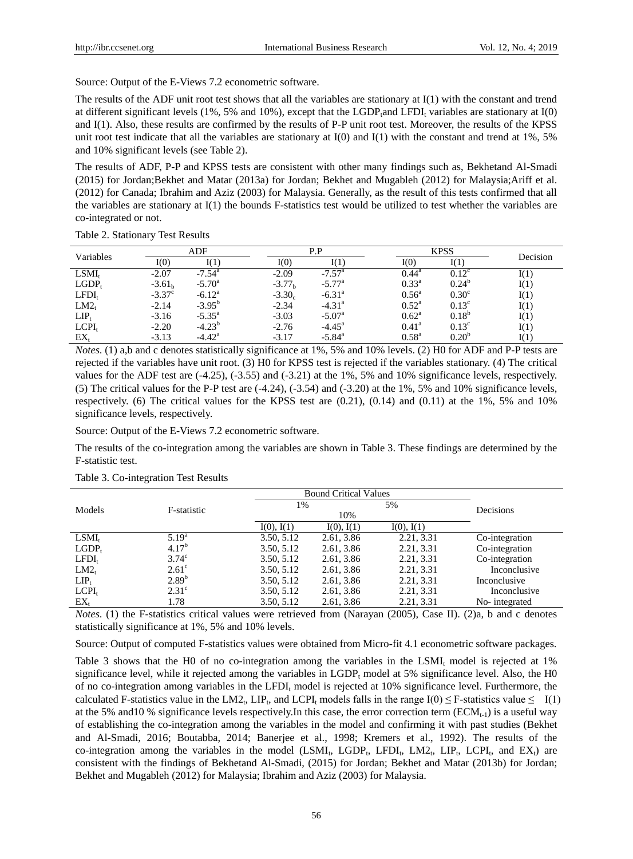Source: Output of the E-Views 7.2 econometric software.

The results of the ADF unit root test shows that all the variables are stationary at I(1) with the constant and trend at different significant levels (1%, 5% and 10%), except that the LGDP<sub>t</sub>and LFDI<sub>t</sub> variables are stationary at  $I(0)$ and I(1). Also, these results are confirmed by the results of P-P unit root test. Moreover, the results of the KPSS unit root test indicate that all the variables are stationary at  $I(0)$  and  $I(1)$  with the constant and trend at 1%, 5% and 10% significant levels (see Table 2).

The results of ADF, P-P and KPSS tests are consistent with other many findings such as, Bekhetand Al-Smadi (2015) for Jordan;Bekhet and Matar (2013a) for Jordan; Bekhet and Mugableh (2012) for Malaysia;Ariff et al. (2012) for Canada; Ibrahim and Aziz (2003) for Malaysia. Generally, as the result of this tests confirmed that all the variables are stationary at I(1) the bounds F-statistics test would be utilized to test whether the variables are co-integrated or not.

| Variables         |                 | ADF             |  | P.P       |                      | <b>KPSS</b>    |                   | Decision |
|-------------------|-----------------|-----------------|--|-----------|----------------------|----------------|-------------------|----------|
|                   | I(0)            |                 |  | I(0)      |                      | I(0)           |                   |          |
| $LSMI_t$          | $-2.07$         | $-7.54^{\circ}$ |  | $-2.09$   | $-7.57$ <sup>a</sup> | $0.44^{\rm a}$ | $0.12^{\circ}$    |          |
| $LGDP_t$          | $-3.61h$        | $-5.70^{\circ}$ |  | $-3.77b$  | $-5.77^{\rm a}$      | $0.33^{\rm a}$ | $0.24^{b}$        | I(1)     |
| LFDI <sub>t</sub> | $-3.37^{\circ}$ | $-6.12^a$       |  | $-3.30_c$ | $-6.31^{\circ}$      | $0.56^{\circ}$ | 0.30 <sup>c</sup> | I(1)     |
| LM2 <sub>t</sub>  | $-2.14$         | $-3.95^{b}$     |  | $-2.34$   | $-4.31$ <sup>a</sup> | $0.52^{\rm a}$ | $0.13^{\circ}$    | I(1)     |
| $LIP_t$           | $-3.16$         | $-5.35^{\circ}$ |  | $-3.03$   | $-5.07^{\rm a}$      | $0.62^{\rm a}$ | $0.18^{b}$        | I(1)     |
| $LCPI_t$          | $-2.20$         | $-4.23^{b}$     |  | $-2.76$   | $-4.45^{\circ}$      | $0.41^{\rm a}$ | $0.13^{\circ}$    | I(1)     |
| $EX_{t}$          | $-3.13$         | $-4.42^{\rm a}$ |  | $-3.17$   | $-5.84$ <sup>a</sup> | $0.58^{\rm a}$ | $0.20^{6}$        |          |

Table 2. Stationary Test Results

*Notes*. (1) a,b and c denotes statistically significance at 1%, 5% and 10% levels. (2) H0 for ADF and P-P tests are rejected if the variables have unit root. (3) H0 for KPSS test is rejected if the variables stationary. (4) The critical values for the ADF test are (-4.25), (-3.55) and (-3.21) at the 1%, 5% and 10% significance levels, respectively. (5) The critical values for the P-P test are  $(-4.24)$ ,  $(-3.54)$  and  $(-3.20)$  at the 1%, 5% and 10% significance levels, respectively. (6) The critical values for the KPSS test are  $(0.21)$ ,  $(0.14)$  and  $(0.11)$  at the 1%, 5% and 10% significance levels, respectively.

Source: Output of the E-Views 7.2 econometric software.

The results of the co-integration among the variables are shown in Table 3. These findings are determined by the F-statistic test.

|                  |                   |            | <b>Bound Critical Values</b> |            |                |
|------------------|-------------------|------------|------------------------------|------------|----------------|
| Models           | F-statistic       | 1%         | 10%                          | 5%         | Decisions      |
|                  |                   | I(0), I(1) | I(0), I(1)                   | I(0), I(1) |                |
| $LSMI_t$         | 5.19 <sup>a</sup> | 3.50, 5.12 | 2.61, 3.86                   | 2.21, 3.31 | Co-integration |
| $LGDP_t$         | $4.17^{b}$        | 3.50, 5.12 | 2.61, 3.86                   | 2.21, 3.31 | Co-integration |
| $LFDI_t$         | $3.74^{\circ}$    | 3.50, 5.12 | 2.61, 3.86                   | 2.21, 3.31 | Co-integration |
| LM2 <sub>t</sub> | $2.61^{\circ}$    | 3.50, 5.12 | 2.61, 3.86                   | 2.21, 3.31 | Inconclusive   |
| $LIP_t$          | $2.89^{b}$        | 3.50, 5.12 | 2.61, 3.86                   | 2.21, 3.31 | Inconclusive   |
| $LCPI_t$         | $2.31^{\circ}$    | 3.50, 5.12 | 2.61, 3.86                   | 2.21, 3.31 | Inconclusive   |
| $EX_{t}$         | 1.78              | 3.50, 5.12 | 2.61, 3.86                   | 2.21, 3.31 | No-integrated  |

#### Table 3. Co-integration Test Results

*Notes*. (1) the F-statistics critical values were retrieved from (Narayan (2005), Case II). (2)a, b and c denotes statistically significance at 1%, 5% and 10% levels.

Source: Output of computed F-statistics values were obtained from Micro-fit 4.1 econometric software packages.

Table 3 shows that the H0 of no co-integration among the variables in the LSMI<sub>t</sub> model is rejected at  $1\%$ significance level, while it rejected among the variables in  $LGDP<sub>t</sub>$  model at 5% significance level. Also, the H0 of no co-integration among variables in the LFDI $<sub>i</sub>$  model is rejected at 10% significance level. Furthermore, the</sub> calculated F-statistics value in the LM2<sub>t</sub>, LIP<sub>t</sub>, and LCPI<sub>t</sub> models falls in the range I(0)  $\leq$  F-statistics value  $\leq$  I(1) at the 5% and 10 % significance levels respectively. In this case, the error correction term ( $ECM_{t-1}$ ) is a useful way of establishing the co-integration among the variables in the model and confirming it with past studies (Bekhet and Al-Smadi, 2016; Boutabba, 2014; Banerjee et al., 1998; Kremers et al., 1992). The results of the co-integration among the variables in the model  $(LSMI_t, LGDP_t, LFDI_t, LM2_t, LIP_t, LCPI_t, and EX_t)$  are consistent with the findings of Bekhetand Al-Smadi, (2015) for Jordan; Bekhet and Matar (2013b) for Jordan; Bekhet and Mugableh (2012) for Malaysia; Ibrahim and Aziz (2003) for Malaysia.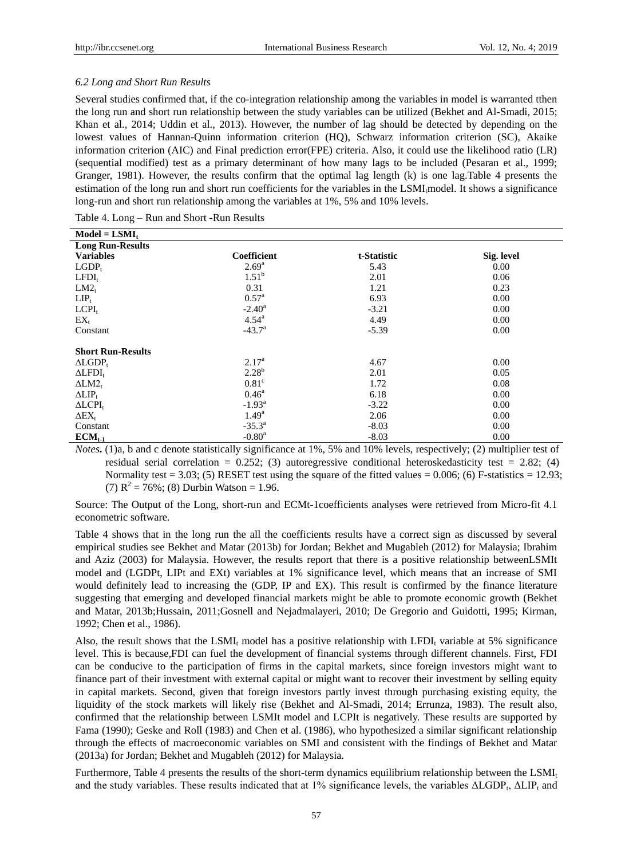## *6.2 Long and Short Run Results*

Several studies confirmed that, if the co-integration relationship among the variables in model is warranted tthen the long run and short run relationship between the study variables can be utilized (Bekhet and Al-Smadi, 2015; Khan et al., 2014; Uddin et al., 2013). However, the number of lag should be detected by depending on the lowest values of Hannan-Quinn information criterion (HQ), Schwarz information criterion (SC), Akaike information criterion (AIC) and Final prediction error(FPE) criteria. Also, it could use the likelihood ratio (LR) (sequential modified) test as a primary determinant of how many lags to be included (Pesaran et al., 1999; Granger, 1981). However, the results confirm that the optimal lag length (k) is one lag.Table 4 presents the estimation of the long run and short run coefficients for the variables in the LSMI<sub>t</sub>model. It shows a significance long-run and short run relationship among the variables at 1%, 5% and 10% levels.

Table 4. Long – Run and Short -Run Results

| <b>Coefficient</b> | t-Statistic                                                   | Sig. level |
|--------------------|---------------------------------------------------------------|------------|
| $2.69^{\rm a}$     | 5.43                                                          | $0.00\,$   |
|                    | 2.01                                                          | 0.06       |
| 0.31               | 1.21                                                          | 0.23       |
| $0.57^{\rm a}$     | 6.93                                                          | 0.00       |
| $-2.40^{\circ}$    | $-3.21$                                                       | 0.00       |
| $4.54^{\circ}$     | 4.49                                                          | 0.00       |
| $-43.7^{\circ}$    | $-5.39$                                                       | 0.00       |
|                    |                                                               |            |
|                    |                                                               |            |
| $2.17^{\rm a}$     | 4.67                                                          | 0.00       |
|                    | 2.01                                                          | 0.05       |
|                    | 1.72                                                          | 0.08       |
| $0.46^{\circ}$     | 6.18                                                          | 0.00       |
| $-1.93^{\rm a}$    | $-3.22$                                                       | 0.00       |
|                    | 2.06                                                          | 0.00       |
| $-35.3^{\circ}$    | $-8.03$                                                       | 0.00       |
| $-0.80^{\rm a}$    | $-8.03$                                                       | 0.00       |
|                    | $1.51^b$<br>$2.28^{b}$<br>0.81 <sup>c</sup><br>$1.49^{\rm a}$ |            |

*Notes***.** (1)a, b and c denote statistically significance at 1%, 5% and 10% levels, respectively; (2) multiplier test of residual serial correlation =  $0.252$ ; (3) autoregressive conditional heteroskedasticity test = 2.82; (4) Normality test = 3.03; (5) RESET test using the square of the fitted values = 0.006; (6) F-statistics = 12.93; (7)  $R^2 = 76\%$ ; (8) Durbin Watson = 1.96.

Source: The Output of the Long, short-run and ECMt-1coefficients analyses were retrieved from Micro-fit 4.1 econometric software.

Table 4 shows that in the long run the all the coefficients results have a correct sign as discussed by several empirical studies see Bekhet and Matar (2013b) for Jordan; Bekhet and Mugableh (2012) for Malaysia; Ibrahim and Aziz (2003) for Malaysia. However, the results report that there is a positive relationship betweenLSMIt model and (LGDPt, LIPt and EXt) variables at 1% significance level, which means that an increase of SMI would definitely lead to increasing the (GDP, IP and EX). This result is confirmed by the finance literature suggesting that emerging and developed financial markets might be able to promote economic growth (Bekhet and Matar, 2013b;Hussain, 2011;Gosnell and Nejadmalayeri, 2010; De Gregorio and Guidotti, 1995; Kirman, 1992; Chen et al., 1986).

Also, the result shows that the LSMI<sub>t</sub> model has a positive relationship with LFDI<sub>t</sub> variable at 5% significance level. This is because,FDI can fuel the development of financial systems through different channels. First, FDI can be conducive to the participation of firms in the capital markets, since foreign investors might want to finance part of their investment with external capital or might want to recover their investment by selling equity in capital markets. Second, given that foreign investors partly invest through purchasing existing equity, the liquidity of the stock markets will likely rise (Bekhet and Al-Smadi, 2014; Errunza, 1983). The result also, confirmed that the relationship between LSMIt model and LCPIt is negatively. These results are supported by Fama (1990); Geske and Roll (1983) and Chen et al. (1986), who hypothesized a similar significant relationship through the effects of macroeconomic variables on SMI and consistent with the findings of Bekhet and Matar (2013a) for Jordan; Bekhet and Mugableh (2012) for Malaysia.

Furthermore, Table 4 presents the results of the short-term dynamics equilibrium relationship between the LSMI<sub>t</sub> and the study variables. These results indicated that at 1% significance levels, the variables  $\Delta LGDP_t$ ,  $\Delta LIP_t$  and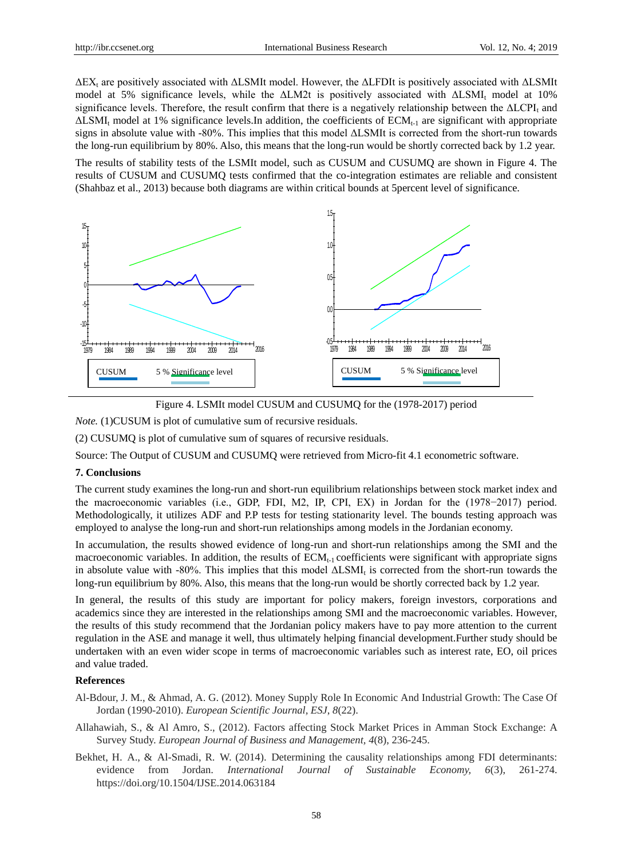$\Delta$ EX<sub>t</sub> are positively associated with  $\Delta$ LSMIt model. However, the  $\Delta$ LFDIt is positively associated with  $\Delta$ LSMIt model at 5% significance levels, while the  $\Delta LM2t$  is positively associated with  $\Delta LSMI$ , model at 10% significance levels. Therefore, the result confirm that there is a negatively relationship between the  $\Delta L CPI<sub>t</sub>$  and  $\Delta$ LSMI<sub>t</sub> model at 1% significance levels.In addition, the coefficients of ECM<sub>t-1</sub> are significant with appropriate signs in absolute value with -80%. This implies that this model ΔLSMIt is corrected from the short-run towards the long-run equilibrium by 80%. Also, this means that the long-run would be shortly corrected back by 1.2 year.

The results of stability tests of the LSMIt model, such as CUSUM and CUSUMQ are shown in Figure 4. The results of CUSUM and CUSUMQ tests confirmed that the co-integration estimates are reliable and consistent (Shahbaz et al., 2013) because both diagrams are within critical bounds at 5percent level of significance.





*Note.* (1)CUSUM is plot of cumulative sum of recursive residuals.

(2) CUSUMQ is plot of cumulative sum of squares of recursive residuals.

Source: The Output of CUSUM and CUSUMQ were retrieved from Micro-fit 4.1 econometric software.

#### **7. Conclusions**

The current study examines the long-run and short-run equilibrium relationships between stock market index and the macroeconomic variables (i.e., GDP, FDI, M2, IP, CPI, EX) in Jordan for the (1978−2017) period. Methodologically, it utilizes ADF and P.P tests for testing stationarity level. The bounds testing approach was employed to analyse the long-run and short-run relationships among models in the Jordanian economy.

In accumulation, the results showed evidence of long-run and short-run relationships among the SMI and the macroeconomic variables. In addition, the results of  $ECM<sub>t-1</sub>$  coefficients were significant with appropriate signs in absolute value with -80%. This implies that this model  $\Delta$ LSMI<sub>t</sub> is corrected from the short-run towards the long-run equilibrium by 80%. Also, this means that the long-run would be shortly corrected back by 1.2 year.

In general, the results of this study are important for policy makers, foreign investors, corporations and academics since they are interested in the relationships among SMI and the macroeconomic variables. However, the results of this study recommend that the Jordanian policy makers have to pay more attention to the current regulation in the ASE and manage it well, thus ultimately helping financial development.Further study should be undertaken with an even wider scope in terms of macroeconomic variables such as interest rate, EO, oil prices and value traded.

# **References**

- Al-Bdour, J. M., & Ahmad, A. G. (2012). Money Supply Role In Economic And Industrial Growth: The Case Of Jordan (1990-2010). *European Scientific Journal, ESJ*, *8*(22).
- Allahawiah, S., & Al Amro, S., (2012). Factors affecting Stock Market Prices in Amman Stock Exchange: A Survey Study. *European Journal of Business and Management, 4*(8), 236-245.
- Bekhet, H. A., & Al-Smadi, R. W. (2014). Determining the causality relationships among FDI determinants: evidence from Jordan. *International Journal of Sustainable Economy, 6*(3), 261-274. https://doi.org/10.1504/IJSE.2014.063184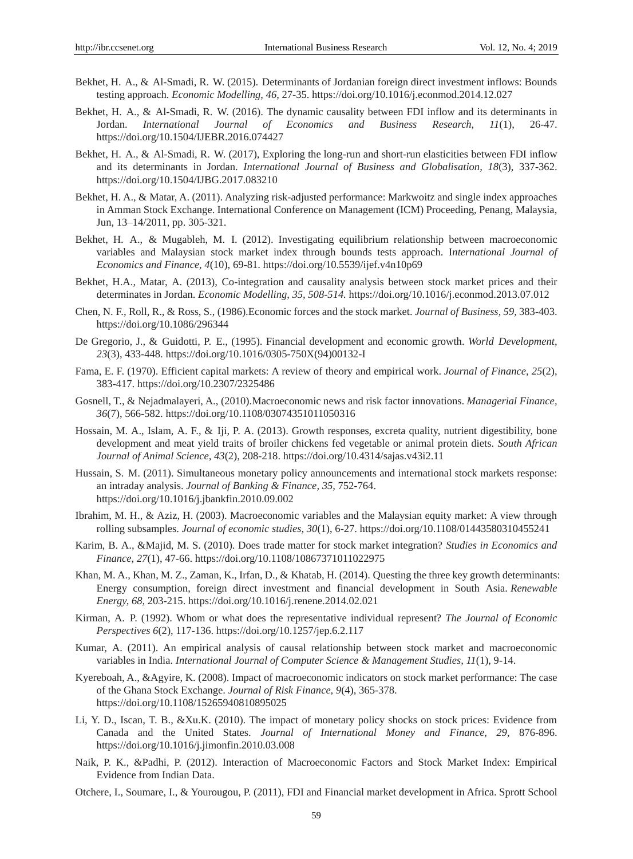- Bekhet, H. A., & Al-Smadi, R. W. (2015). Determinants of Jordanian foreign direct investment inflows: Bounds testing approach. *Economic Modelling, 46,* 27-35. https://doi.org/10.1016/j.econmod.2014.12.027
- Bekhet, H. A., & Al-Smadi, R. W. (2016). The dynamic causality between FDI inflow and its determinants in Jordan. *International Journal of Economics and Business Research, 11*(1), 26-47. https://doi.org/10.1504/IJEBR.2016.074427
- Bekhet, H. A., & Al-Smadi, R. W. (2017), Exploring the long-run and short-run elasticities between FDI inflow and its determinants in Jordan. *International Journal of Business and Globalisation, 18*(3), 337-362. https://doi.org/10.1504/IJBG.2017.083210
- Bekhet, H. A., & Matar, A. (2011). Analyzing risk-adjusted performance: Markwoitz and single index approaches in Amman Stock Exchange. International Conference on Management (ICM) Proceeding, Penang, Malaysia, Jun, 13–14/2011, pp. 305-321.
- Bekhet, H. A., & Mugableh, M. I. (2012). Investigating equilibrium relationship between macroeconomic variables and Malaysian stock market index through bounds tests approach. I*nternational Journal of Economics and Finance, 4*(10), 69-81. https://doi.org/10.5539/ijef.v4n10p69
- Bekhet, H.A., Matar, A. (2013), Co-integration and causality analysis between stock market prices and their determinates in Jordan. *Economic Modelling, 35, 508-514.* https://doi.org/10.1016/j.econmod.2013.07.012
- Chen, N. F., Roll, R., & Ross, S., (1986).Economic forces and the stock market. *Journal of Business, 59,* 383-403. https://doi.org/10.1086/296344
- De Gregorio, J., & Guidotti, P. E., (1995). Financial development and economic growth. *World Development, 23*(3), 433-448. https://doi.org/10.1016/0305-750X(94)00132-I
- Fama, E. F. (1970). Efficient capital markets: A review of theory and empirical work. *Journal of Finance, 25*(2), 383-417. https://doi.org/10.2307/2325486
- Gosnell, T., & Nejadmalayeri, A., (2010).Macroeconomic news and risk factor innovations. *Managerial Finance, 36*(7), 566-582. https://doi.org/10.1108/03074351011050316
- Hossain, M. A., Islam, A. F., & Iji, P. A. (2013). Growth responses, excreta quality, nutrient digestibility, bone development and meat yield traits of broiler chickens fed vegetable or animal protein diets. *South African Journal of Animal Science, 43*(2), 208-218. https://doi.org/10.4314/sajas.v43i2.11
- Hussain, S. M. (2011). Simultaneous monetary policy announcements and international stock markets response: an intraday analysis. *Journal of Banking & Finance, 35,* 752-764. https://doi.org/10.1016/j.jbankfin.2010.09.002
- Ibrahim, M. H., & Aziz, H. (2003). Macroeconomic variables and the Malaysian equity market: A view through rolling subsamples. *Journal of economic studies, 30*(1), 6-27. https://doi.org/10.1108/01443580310455241
- Karim, B. A., &Majid, M. S. (2010). Does trade matter for stock market integration? *Studies in Economics and Finance, 27*(1), 47-66. https://doi.org/10.1108/10867371011022975
- Khan, M. A., Khan, M. Z., Zaman, K., Irfan, D., & Khatab, H. (2014). Questing the three key growth determinants: Energy consumption, foreign direct investment and financial development in South Asia. *Renewable Energy, 68,* 203-215. https://doi.org/10.1016/j.renene.2014.02.021
- Kirman, A. P. (1992). Whom or what does the representative individual represent? *The Journal of Economic Perspectives 6*(2), 117-136. https://doi.org/10.1257/jep.6.2.117
- Kumar, A. (2011). An empirical analysis of causal relationship between stock market and macroeconomic variables in India. *International Journal of Computer Science & Management Studies, 11*(1), 9-14.
- Kyereboah, A., &Agyire, K. (2008). Impact of macroeconomic indicators on stock market performance: The case of the Ghana Stock Exchange. *Journal of Risk Finance, 9*(4), 365-378. https://doi.org/10.1108/15265940810895025
- Li, Y. D., Iscan, T. B., &Xu.K. (2010). The impact of monetary policy shocks on stock prices: Evidence from Canada and the United States. *Journal of International Money and Finance, 29,* 876-896. https://doi.org/10.1016/j.jimonfin.2010.03.008
- Naik, P. K., &Padhi, P. (2012). Interaction of Macroeconomic Factors and Stock Market Index: Empirical Evidence from Indian Data.
- Otchere, I., Soumare, I., & Yourougou, P. (2011), FDI and Financial market development in Africa. Sprott School